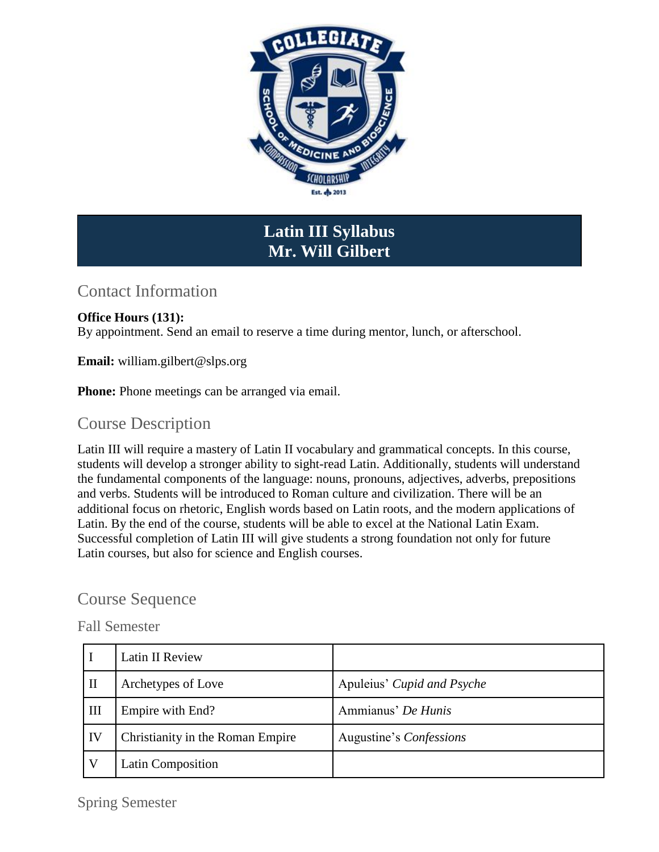

# **Latin III Syllabus Mr. Will Gilbert**

## Contact Information

#### **Office Hours (131):**

By appointment. Send an email to reserve a time during mentor, lunch, or afterschool.

**Email:** william.gilbert@slps.org

**Phone:** Phone meetings can be arranged via email.

#### Course Description

Latin III will require a mastery of Latin II vocabulary and grammatical concepts. In this course, students will develop a stronger ability to sight-read Latin. Additionally, students will understand the fundamental components of the language: nouns, pronouns, adjectives, adverbs, prepositions and verbs. Students will be introduced to Roman culture and civilization. There will be an additional focus on rhetoric, English words based on Latin roots, and the modern applications of Latin. By the end of the course, students will be able to excel at the National Latin Exam. Successful completion of Latin III will give students a strong foundation not only for future Latin courses, but also for science and English courses.

### Course Sequence

#### Fall Semester

|    | Latin II Review                  |                            |
|----|----------------------------------|----------------------------|
| Ш  | Archetypes of Love               | Apuleius' Cupid and Psyche |
| Ш  | Empire with End?                 | Ammianus' De Hunis         |
| IV | Christianity in the Roman Empire | Augustine's Confessions    |
|    | Latin Composition                |                            |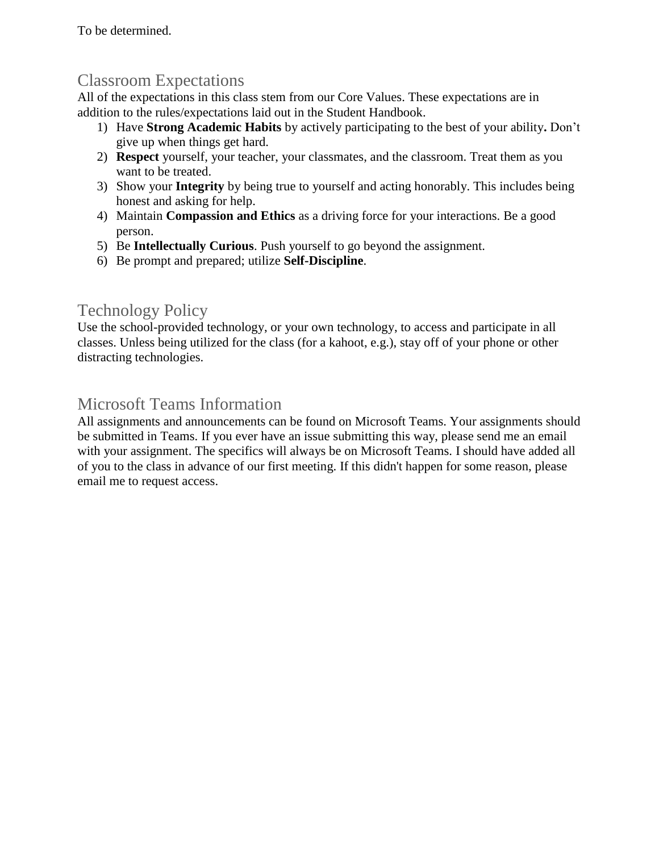To be determined.

## Classroom Expectations

All of the expectations in this class stem from our Core Values. These expectations are in addition to the rules/expectations laid out in the Student Handbook.

- 1) Have **Strong Academic Habits** by actively participating to the best of your ability**.** Don't give up when things get hard.
- 2) **Respect** yourself, your teacher, your classmates, and the classroom. Treat them as you want to be treated.
- 3) Show your **Integrity** by being true to yourself and acting honorably. This includes being honest and asking for help.
- 4) Maintain **Compassion and Ethics** as a driving force for your interactions. Be a good person.
- 5) Be **Intellectually Curious**. Push yourself to go beyond the assignment.
- 6) Be prompt and prepared; utilize **Self-Discipline**.

## Technology Policy

Use the school-provided technology, or your own technology, to access and participate in all classes. Unless being utilized for the class (for a kahoot, e.g.), stay off of your phone or other distracting technologies.

## Microsoft Teams Information

All assignments and announcements can be found on Microsoft Teams. Your assignments should be submitted in Teams. If you ever have an issue submitting this way, please send me an email with your assignment. The specifics will always be on Microsoft Teams. I should have added all of you to the class in advance of our first meeting. If this didn't happen for some reason, please email me to request access.